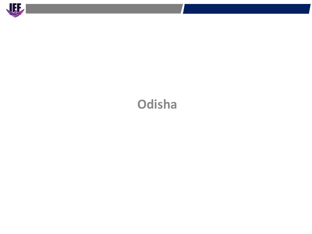

# **Odisha**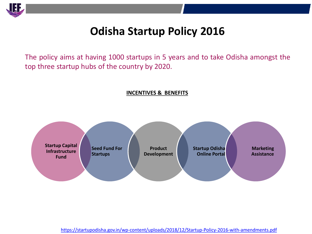

## **Odisha Startup Policy 2016**

The policy aims at having 1000 startups in 5 years and to take Odisha amongst the top three startup hubs of the country by 2020.

#### **INCENTIVES & BENEFITS**



<https://startupodisha.gov.in/wp-content/uploads/2018/12/Startup-Policy-2016-with-amendments.pdf>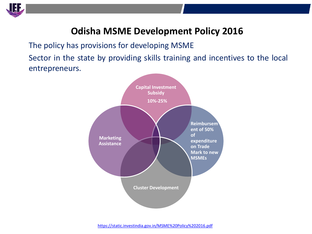

### **Odisha MSME Development Policy 2016**

The policy has provisions for developing MSME Sector in the state by providing skills training and incentives to the local entrepreneurs.

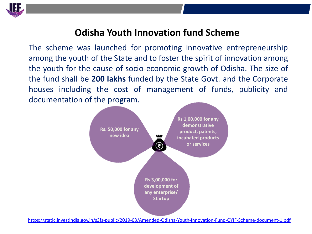

### **Odisha Youth Innovation fund Scheme**

The scheme was launched for promoting innovative entrepreneurship among the youth of the State and to foster the spirit of innovation among the youth for the cause of socio-economic growth of Odisha. The size of the fund shall be **200 lakhs** funded by the State Govt. and the Corporate houses including the cost of management of funds, publicity and documentation of the program.

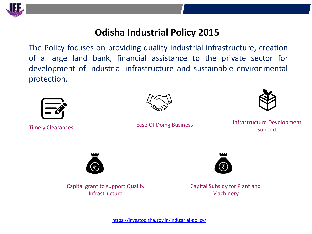

### **Odisha Industrial Policy 2015**

The Policy focuses on providing quality industrial infrastructure, creation of a large land bank, financial assistance to the private sector for development of industrial infrastructure and sustainable environmental protection.





Ease Of Doing Business



Infrastructure Development Timely Clearances **Support** East Of Dollig Business **Support** 



Capital grant to support Quality Infrastructure



Capital Subsidy for Plant and **Machinery**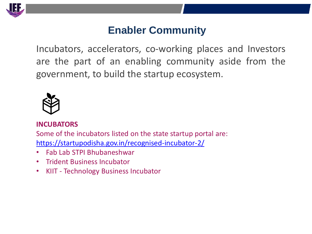

### **Enabler Community**

Incubators, accelerators, co-working places and Investors are the part of an enabling community aside from the government, to build the startup ecosystem.



#### **INCUBATORS**

Some of the incubators listed on the state startup portal are: <https://startupodisha.gov.in/recognised-incubator-2/>

- Fab Lab STPI Bhubaneshwar
- Trident Business Incubator
- KIIT Technology Business Incubator